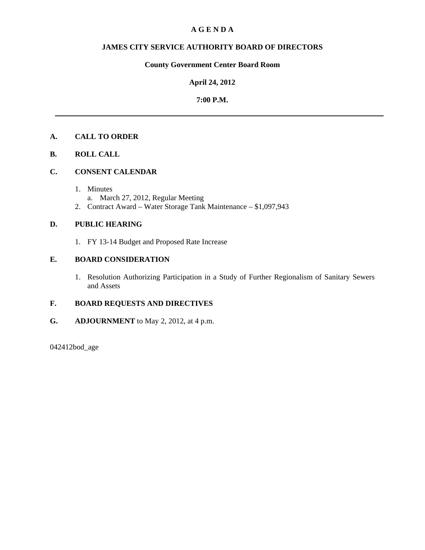# **A G E N D A**

# **JAMES CITY SERVICE AUTHORITY BOARD OF DIRECTORS**

# **County Government Center Board Room**

# **April 24, 2012**

# **7:00 P.M.**

# **A. CALL TO ORDER**

# **B. ROLL CALL**

# **C. CONSENT CALENDAR**

- 1. Minutes
	- a. March 27, 2012, Regular Meeting
- 2. Contract Award Water Storage Tank Maintenance \$1,097,943

# **D. PUBLIC HEARING**

1. FY 13-14 Budget and Proposed Rate Increase

# **E. BOARD CONSIDERATION**

1. Resolution Authorizing Participation in a Study of Further Regionalism of Sanitary Sewers and Assets

# **F. BOARD REQUESTS AND DIRECTIVES**

**G. ADJOURNMENT** to May 2, 2012, at 4 p.m.

042412bod\_age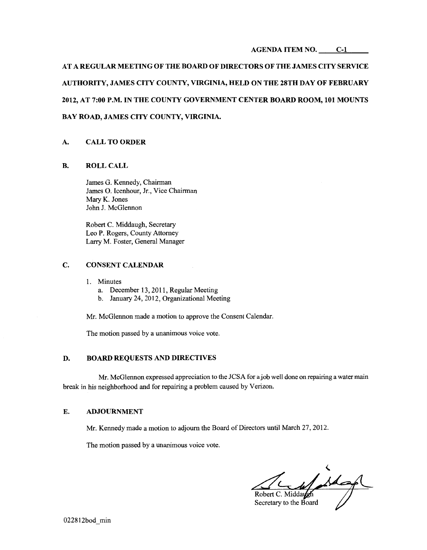**AT A REGULAR MEETING OF THE BOARD OF DIRECTORS OF THE JAMES CITY SERVICE AUTHORITY, JAMES CITY COUNTY, VIRGINIA, HELD ON THE 28TH DAY OF FEBRUARY 2012, AT 7:00 P.M. IN THE COUNTY GOVERNMENT CENTER BOARD ROOM, 101 MOUNTS BAY ROAD, JAMES CITY COUNTY, VIRGINIA.** 

# **A. CALL TO ORDER**

#### **B. ROLLCALL**

James G. Kennedy, Chairman James 0. Icenhour, Jr., Vice Chairman Mary K. Jones John J. McGlennon

Robert C. Middaugh, Secretary Leo P. Rogers, County Attorney Larry M. Foster, General Manager

# **C. CONSENT CALENDAR**

- 1. Minutes
	- a. December 13,2011, Regular Meeting
	- b. January 24, 2012, Organizational Meeting

Mr. McGlennon made a motion to approve the Consent Calendar.

The motion passed by a unanimous voice vote.

#### **D. BOARD REQUESTS AND DIRECTIVES**

Mr. McGlennon expressed appreciation to the JCSA for a job well done on repairing a water main break in his neighborhood and for repairing a problem caused by Verizon.

### **E. ADJOURNMENT**

Mr. Kennedy made a motion to adjourn the Board of Directors until March 27,2012.

The motion passed by a unanimous voice vote.

Robert C. Midday

Secretary to the Board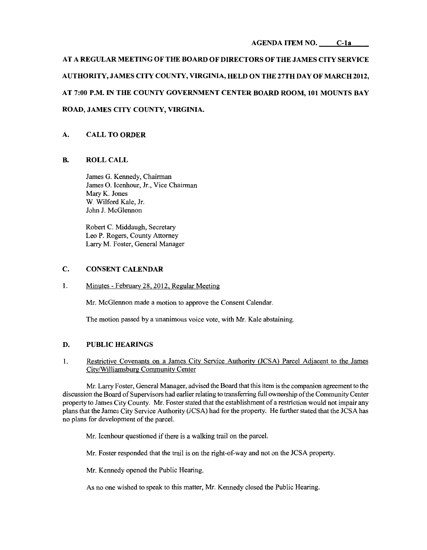# **AGENDA ITEM NO. C-Ia**

# **AT A REGULAR MEETING OF THE BOARD OF DIRECTORS OF THE JAMES CITY SERVICE AUTHORITY, JAMES CITY COUNTY, VIRGINIA, HELD ON THE 27TH DAY OF MARCH 2012, AT 7:00P.M. IN THE COUNTY GOVERNMENT CENTER BOARD ROOM, 101 MOUNTS BAY ROAD, JAMES CITY COUNTY, VIRGINIA.**

# **A. CALL TO ORDER**

#### **B. ROLLCALL**

James G. Kennedy, Chairman James 0. Icenhour, Jr., Vice Chairman Mary K. Jones W. Wilford Kale, Jr. John J. McGlennon

Robert C. Middaugh, Secretary Leo P. Rogers, County Attorney Larry M. Foster, General Manager

# **C. CONSENT CALENDAR**

1. Minutes- February 28, 2012, Regular Meeting

Mr. McGlennon made a motion to approve the Consent Calendar.

The motion passed by a unanimous voice vote, with Mr. Kale abstaining.

# **D. PUBLIC HEARINGS**

1. Restrictive Covenants on a James Citv Service Authority (JCSA) Parcel Adjacent to the James City/Williamsburg Community Center

Mr. Larry Foster, General Manager, advised the Board that this item is the companion agreement to the discussion the Board of Supervisors had earlier relating to transferring full ownership of the Community Center property to James City County. Mr. Foster stated that the establishment of a restriction would not impair any plans that the James City Service Authority (JCSA) had for the property. He further stated that the JCSA has no plans for development of the parcel.

Mr. Icenhour questioned if there is a walking trail on the parcel.

Mr. Foster responded that the trail is on the right-of-way and not on the JCSA property.

Mr. Kennedy opened the Public Hearing.

As no one wished to speak to this matter, Mr. Kennedy closed the Public Hearing.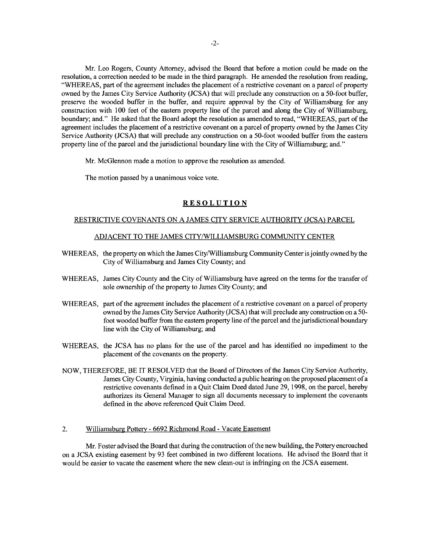Mr. Leo Rogers, County Attorney, advised the Board that before a motion could be made on the resolution, a correction needed to be made in the third paragraph. He amended the resolution from reading, "WHEREAS, part of the agreement includes the placement of a restrictive covenant on a parcel of property owned by the James City Service Authority (JCSA) that will preclude any construction on a 50-foot buffer, preserve the wooded buffer in the buffer, and require approval by the City of Williamsburg for any construction with 100 feet of the eastern property line of the parcel and along the City of Williamsburg, boundary; and." He asked that the Board adopt the resolution as amended to read, "WHEREAS, part of the agreement includes the placement of a restrictive covenant on a parcel of property owned by the James City Service Authority (JCSA) that will preclude any construction on a 50-foot wooded buffer from the eastern property line of the parcel and the jurisdictional boundary line with the City of Williamsburg; and."

Mr. McGlennon made a motion to approve the resolution as amended.

The motion passed by a unanimous voice vote.

# **RESOLUTION**

#### RESTRICTIVE COVENANTS ON A JAMES CITY SERVICE AUTHORITY (JCSA) PARCEL

#### ADJACENT TO THE JAMES CITY/WILLIAMSBURG COMMUNITY CENTER

- WHEREAS, the property on which the James City/Williamsburg Community Center is jointly owned by the City of Williamsburg and James City County; and
- WHEREAS, James City County and the City of Williamsburg have agreed on the terms for the transfer of sole ownership of the property to James City County; and
- WHEREAS, part of the agreement includes the placement of a restrictive covenant on a parcel of property owned by the James City Service Authority (JCSA) that will preclude any construction on a 50 foot wooded buffer from the eastern property line of the parcel and the jurisdictional boundary line with the City of Williamsburg; and
- WHEREAS, the JCSA has no plans for the use of the parcel and has identified no impediment to the placement of the covenants on the property.
- NOW, THEREFORE, BE IT RESOLVED that the Board of Directors of the James City Service Authority, James City County, Virginia, having conducted a public hearing on the proposed placement of a restrictive covenants defined in a Quit Claim Deed dated June 29, 1998, on the parcel, hereby authorizes its General Manager to sign all documents necessary to implement the covenants defined in the above referenced Quit Claim Deed.

# 2. Williamsburg Pottery- 6692 Richmond Road- Vacate Easement

Mr. Foster advised the Board that during the construction of the new building, the Pottery encroached on a JCSA existing easement by 93 feet combined in two different locations. He advised the Board that it would be easier to vacate the easement where the new clean-out is infringing on the JCSA easement.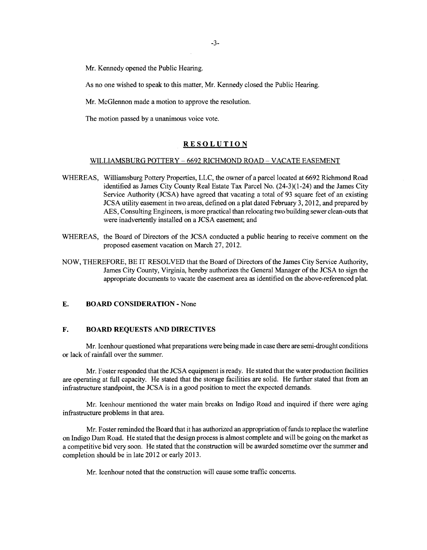Mr. Kennedy opened the Public Hearing.

As no one wished to speak to this matter, Mr. Kennedy closed the Public Hearing.

Mr. McGlennon made a motion to approve the resolution.

The motion passed by a unanimous voice vote.

#### **RESOLUTION**

#### WILLIAMSBURG POTTERY- 6692 RICHMOND ROAD- VACATE EASEMENT

- WHEREAS, Williamsburg Pottery Properties, LLC, the owner of a parcel located at 6692 Richmond Road identified as James City County Real Estate Tax Parcel No. (24-3)(1-24) and the James City Service Authority (JCSA) have agreed that vacating a total of 93 square feet of an existing JCSA utility easement in two areas, defined on a plat dated February 3, 2012, and prepared by AES, Consulting Engineers, is more practical than relocating two building sewer clean-outs that were inadvertently installed on a JCSA easement; and
- WHEREAS, the Board of Directors of the JCSA conducted a public hearing to receive comment on the proposed easement vacation on March 27,2012.
- NOW, THEREFORE, BE IT RESOLVED that the Board of Directors of the James City Service Authority, James City County, Virginia, hereby authorizes the General Manager of the JCSA to sign the appropriate documents to vacate the easement area as identified on the above-referenced plat.

# **E. BOARD CONSIDERATION-** None

#### **F. BOARD REQUESTS AND DIRECTIVES**

Mr. Icenhour questioned what preparations were being made in case there are semi-drought conditions or lack of rainfall over the summer.

Mr. Foster responded that the JCSA equipment is ready. He stated that the water production facilities are operating at full capacity. He stated that the storage facilities are solid. He further stated that from an infrastructure standpoint, the JCSA is in a good position to meet the expected demands.

Mr. Icenhour mentioned the water main breaks on Indigo Road and inquired if there were aging infrastructure problems in that area.

Mr. Foster reminded the Board that it has authorized an appropriation of funds to replace the waterline on Indigo Dam Road. He stated that the design process is almost complete and will be going on the market as a competitive bid very soon. He stated that the construction will be awarded sometime over the summer and completion should be in late 2012 or early 2013.

Mr. Icenhour noted that the construction will cause some traffic concerns.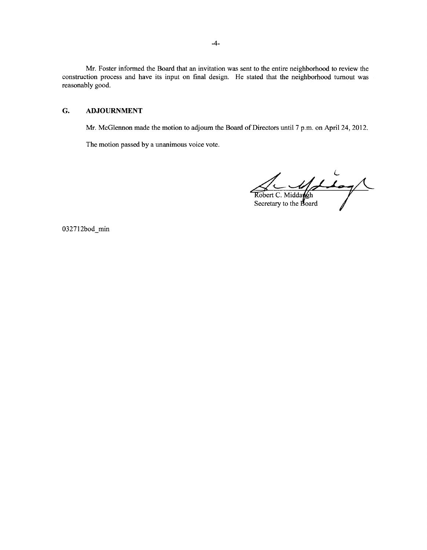Mr. Foster informed the Board that an invitation was sent to the entire neighborhood to review the construction process and have its input on final design. He stated that the neighborhood turnout was reasonably good.

# **G. ADJOURNMENT**

Mr. McGlennon made the motion to adjourn the Board of Directors until 7 p.m. on April24, 2012.

The motion passed by a unanimous voice vote.

Robert C. Middaysh

032712bod\_min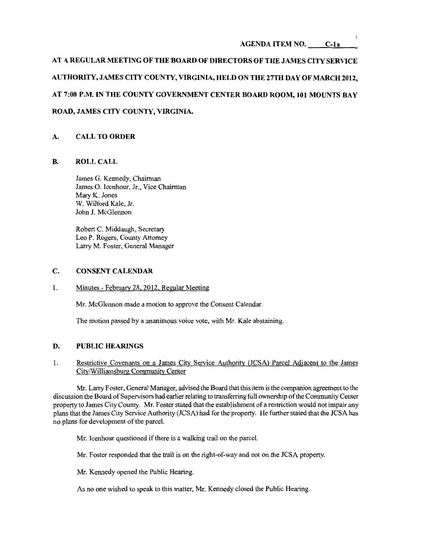**AGENDA ITEM NO. C-1a** 

 $\mathbf{1}$ 

**AT A REGULAR MEETING OF THE BOARD OF DIRECTORS OF THE JAMES CITY SERVICE AUTHORITY, JAMES CITY COUNTY, VIRGINIA, HELD ON THE 27TH DAY OF MARCH 2012,**  AT 7:00 P.M. IN THE COUNTY GOVERNMENT CENTER BOARD ROOM, 101 MOUNTS BAY **ROAD, JAMES CITY COUNTY, VIRGINIA.** 

# **A. CALL TO ORDER**

# **B. ROLLCALL**

James G. Kennedy, Chairman James 0. Icenhour, Jr., Vice Chairman Mary K. Jones W. Wilford Kale, Jr. John **J.** McGlennon

Robert C. Middaugh, Secretary Leo **P.** Rogers, County Attorney Larry M. Foster, General Manager

#### **C. CONSENT CALENDAR**

1. Minutes- February 28, 2012, Regular Meeting

Mr. McGlennon made a motion to approve the Consent Calendar.

The motion passed by a unanimous voice vote, with Mr. Kale abstaining.

# **D. PUBLIC HEARINGS**

# 1. Restrictive Covenants on a James City Service Authority (JCSA) Parcel Adjacent to the James City/Williamsburg Community Center

Mr. Larry Foster, General Manager, advised the Board that this item is the companion agreement to the discussion the Board of Supervisors had earlier relating to transferring full ownership of the Community Center property to James City County. Mr. Foster stated that the establishment of a restriction would not impair any plans that the James City Service Authority (JCSA) had for the property. He further stated that the JCSA has no plans for development of the parcel.

Mr. Icenhour questioned if there is a walking trail on the parcel.

Mr. Foster responded that the trail is on the right-of-way and not on the JCSA property.

Mr. Kennedy opened the Public Hearing.

As no one wished to speak to this matter, Mr. Kennedy closed the Public Hearing.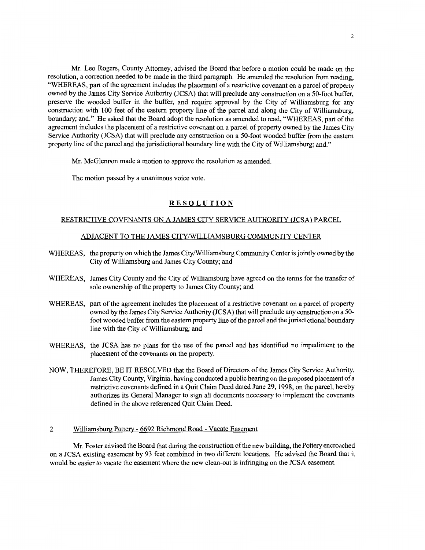Mr. Leo Rogers, County Attorney, advised the Board that before a motion could be made on the resolution, a correction needed to be made in the third paragraph. He amended the resolution from reading, "WHEREAS, part of the agreement includes the placement of a restrictive covenant on a parcel of property owned by the James City Service Authority (JCSA) that will preclude any construction on a 50-foot buffer, preserve the wooded buffer in the buffer, and require approval by the City of Williamsburg for any construction with 100 feet of the eastern property line of the parcel and along the City of Williamsburg, boundary; and." He asked that the Board adopt the resolution as amended to read, "WHEREAS, part of the agreement includes the placement of a restrictive covenant on a parcel of property owned by the James City Service Authority (JCSA) that will preclude any construction on a 50-foot wooded buffer from the eastern property line of the parcel and the jurisdictional boundary line with the City of Williamsburg; and."

Mr. McGlennon made a motion to approve the resolution as amended.

The motion passed by a unanimous voice vote.

# **RESOLUTION**

#### RESTRICTIVE COVENANTS ON A JAMES CITY SERVICE AUTHORITY (JCSA) PARCEL

#### ADJACENT TO THE JAMES CITY/WILLIAMSBURG COMMUNITY CENTER

- WHEREAS, the property on which the James City/Williamsburg Community Center is jointly owned by the City of Williamsburg and James City County; and
- WHEREAS, James City County and the City of Williamsburg have agreed on the terms for the transfer of sole ownership of the property to James City County; and
- WHEREAS, part of the agreement includes the placement of a restrictive covenant on a parcel of property owned by the James City Service Authority (JCSA) that will preclude any construction on a 50 foot wooded buffer from the eastern property line of the parcel and the jurisdictional boundary line with the City of Williamsburg; and
- WHEREAS, the JCSA has no plans for the use of the parcel and has identified no impediment to the placement of the covenants on the property.
- NOW, THEREFORE, BE IT RESOLVED that the Board of Directors of the James City Service Authority, James City County, Virginia, having conducted a public hearing on the proposed placement of a restrictive covenants defined in a Quit Claim Deed dated June 29, 1998, on the parcel, hereby authorizes its General Manager to sign all documents necessary to implement the covenants defined in the above referenced Quit Claim Deed.
- 2. Williamsburg Pottery 6692 Richmond Road Vacate Easement

Mr. Foster advised the Board that during the construction of the new building, the Pottery encroached on a JCSA existing easement by 93 feet combined in two different locations. He advised the Board that it would be easier to vacate the easement where the new clean-out is infringing on the JCSA easement.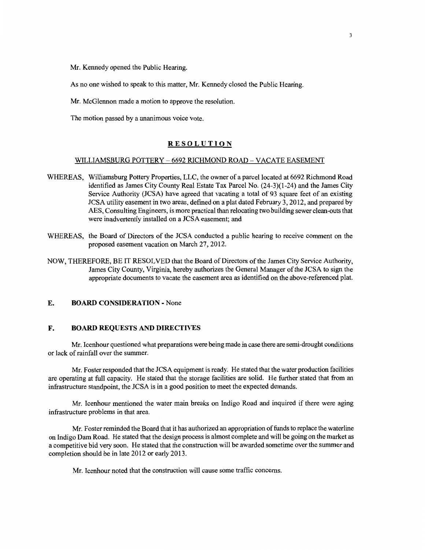Mr. Kennedy opened the Public Hearing.

As no one wished to speak to this matter, Mr. Kennedy closed the Public Hearing.

Mr. McGlennon made a motion to approve the resolution.

The motion passed by a unanimous voice vote.

# **RESOLUTION**

# WILLIAMSBURG POTTERY- 6692 RICHMOND ROAD- VACATE EASEMENT

- WHEREAS, Williamsburg Pottery Properties, LLC, the owner of a parcel located at 6692 Richmond Road identified as James City County Real Estate Tax Parcel No. (24-3)(1-24) and the James City Service Authority (JCSA) have agreed that vacating a total of 93 square feet of an existing JCSA utility easement in two areas, defined on a plat dated February 3, 2012, and prepared by AES, Consulting Engineers, is more practical than relocating two building sewer clean-outs that were inadvertently installed on a JCSA easement; and
- WHEREAS, the Board of Directors of the JCSA conducted a public hearing to receive comment on the proposed easement vacation on March 27, 2012.
- NOW, THEREFORE, BE IT RESOLVED that the Board of Directors of the James City Service Authority, James City County, Virginia, hereby authorizes the General Manager of the JCSA to sign the appropriate documents to vacate the easement area as identified on the above-referenced plat.

#### **E. BOARD CONSIDERATION-** None

#### **F. BOARD REQUESTS AND DIRECTIVES**

Mr. Icenhour questioned what preparations were being made in case there are semi-drought conditions or lack of rainfall over the summer.

Mr. Foster responded that the JCSA equipment is ready. He stated that the water production facilities are operating at full capacity. He stated that the storage facilities are solid. He further stated that from an infrastructure standpoint, the JCSA is in a good position to meet the expected demands.

Mr. Icenhour mentioned the water main breaks on Indigo Road and inquired if there were aging infrastructure problems in that area.

Mr. Foster reminded the Board that it has authorized an appropriation of funds to replace the waterline on Indigo Dam Road. He stated that the design process is almost complete and will be going on the market as a competitive bid very soon. He stated that the construction will be awarded sometime over the summer and completion should be in late 2012 or early 2013.

Mr. Icenhour noted that the construction will cause some traffic concerns.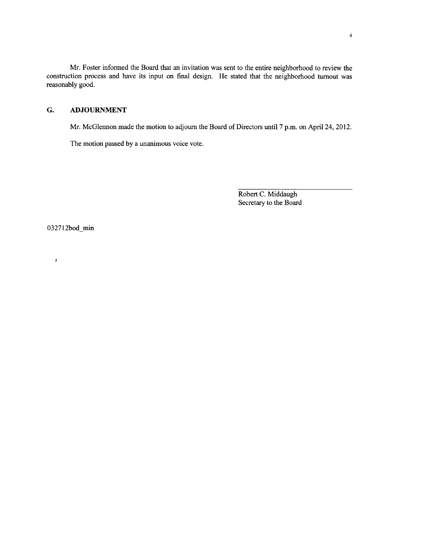Mr. Foster informed the Board that an invitation was sent to the entire neighborhood to review the construction process and have its input on final design. He stated that the neighborhood turnout was reasonably good.

# **G. ADJOURNMENT**

Mr. McGlennon made the motion to adjourn the Board of Directors until 7 p.m. on April24, 2012.

The motion passed by a unanimous voice vote.

Robert C. Middaugh Secretary to the Board

032712bod\_min

 $\pmb{\cdot}$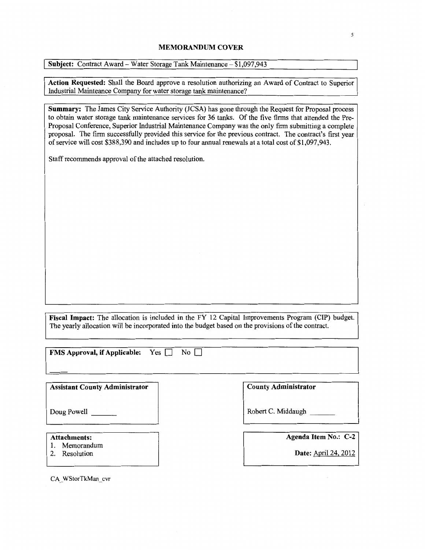# **MEMORANDUM COVER**

I **Subject:** Contract Award- Water Storage Tank Maintenance- \$1,097,943

**Action Requested:** Shall the Board approve a resolution authorizing an Award of Contract to Superior Industrial Mainteance Company for water storage tank maintenance?

**Summary:** The James City Service Authority (JCSA) has gone through the Request for Proposal process to obtain water storage tank maintenance services for 36 tanks. Of the five firms that attended the Pre-Proposal Conference, Superior Industrial Maintenance Company was the only firm submitting a complete proposal. The firm successfully provided this service for the previous contract. The contract's first year of service will cost \$388,390 and includes up to four annual renewals at a total cost of\$1,097,943.

Staff recommends approval of the attached resolution.

**Fiscal Impact:** The allocation is included in the FY 12 Capital Improvements Program (CIP) budget. The yearly allocation will be incorporated into the budget based on the provisions of the contract.

FMS Approval, if Applicable: Yes  $\Box$  No $\Box$ 

**Assistant County Administrator County Administrator** 

1. Memorandum

CA WStorTkMan cvr

Doug Powell \_\_ \_ Robert C. Middaugh \_\_ \_

**Attachments: Agenda Item** No.: C-2

2. Resolution **Date:** April24, 2012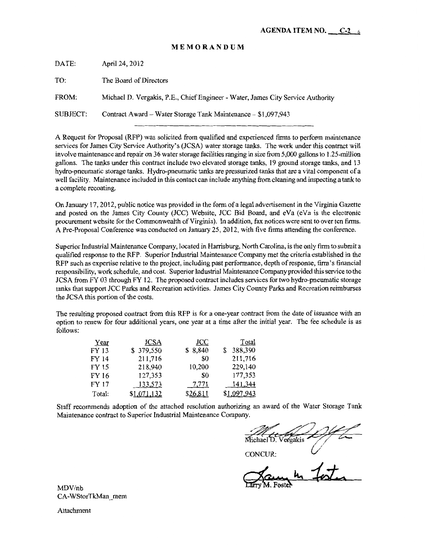### **MEMORANDUM**

DATE: April24, 2012 TO: The Board of Directors FROM: Michael D. Vergakis, P.E., Chief Engineer- Water, James City Service Authority SUBJECT: Contract Award- Water Storage Tank Maintenance- \$1,097,943

A Request for Proposal (RFP) was solicited from qualified and experienced firms to perform maintenance services for James City Service Authority's (JCSA) water storage tanks. The work under this contract will involve maintenance and repair on 36 water storage facilities ranging in size from 5,000 gallons to 1.25-million gallons. The tanks under this contract include two elevated storage tanks, 19 ground storage tanks, and 13 hydro-pneumatic storage tanks. Hydro-pneumatic tanks are pressurized tanks that are a vital component of a well facility. Maintenance included in this contact can include anything from cleaning and inspecting a tank to a complete recoating.

On January 17, 2012, public notice was provided in the form of a legal advertisement in the Virginia Gazette and posted on the James City County (JCC) Website, JCC Bid Board, and eVa (eVa is the electronic procurement website for the Commonwealth ofVirginia). In addition, fax notices were sent to over ten firms. A Pre-Proposal Conference was conducted on January 25, 2012, with five firms attending the conference.

Superior Industrial Maintenance Company, located in Harrisburg, North Carolina, is the only firm to submit a qualified response to the RFP. Superior Industrial Maintenance Company met the criteria established in the RFP such as expertise relative to the project, including past performance, depth of response, firm's financial responsibility, work schedule, and cost. Superior Industrial Maintenance Company provided this service to the JCSA from FY 03 through FY 12. The proposed contract includes services for two hydro-pneumatic storage tanks that support JCC Parks and Recreation activities. James City County Parks and Recreation reimburses the JCSA this portion of the costs.

The resulting proposed contract from this RFP is for a one-year contract from the date of issuance with an option to renew for four additional years, one year at a time after the initial year. The fee schedule is as follows:

| Year         | <b>JCSA</b> | <b>JCC</b> | Total       |
|--------------|-------------|------------|-------------|
| FY 13        | \$379,550   | \$8,840    | 388,390     |
| FY 14        | 211,716     | \$0        | 211,716     |
| FY 15        | 218,940     | 10,200     | 229,140     |
| FY 16        | 127,353     | \$0        | 177,353     |
| <b>FY 17</b> | 133,573     | 7,771      | 141,344     |
| Total:       | \$1,071,132 | \$26,811   | \$1.097.943 |

Staff recommends adoption of the attached resolution authorizing an award of the Water Storage Tank Maintenance contract to Superior Industrial Maintenance Company.

Michael D. Vergakis

**CONCUR:** 

marias 21/2

MDV/nb CA-WStorTkMan\_mem

Attachment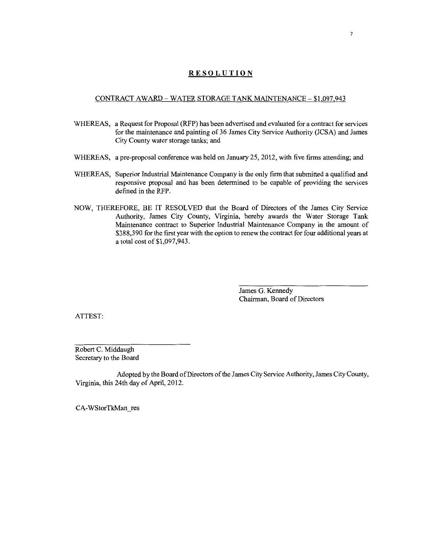# **RESOLUTION**

#### CONTRACT AWARD- WATER STORAGE TANK MAINTENANCE- \$1,097,943

- WHEREAS, a Request for Proposal (RFP) has been advertised and evaluated for a contract for services for the maintenance and painting of 36 James City Service Authority (JCSA) and James City County water storage tanks; and
- WHEREAS, a pre-proposal conference was held on January 25, 2012, with five firms attending; and
- WHEREAS, Superior Industrial Maintenance Company is the only firm that submitted a qualified and responsive proposal and has been determined to be capable of providing the services defined in the RFP.
- NOW, THEREFORE, BE IT RESOLVED that the Board of Directors of the James City Service Authority, James City County, Virginia, hereby awards the Water Storage Tank Maintenance contract to Superior Industrial Maintenance Company in the amount of \$388,390 for the first year with the option to renew the contract for four additional years at a total cost of\$1,097,943.

James G. Kennedy Chairman, Board of Directors

ATTEST:

Robert C. Middaugh Secretary to the Board

Adopted by the Board of Directors of the James City Service Authority, James City County, Virginia, this 24th day of April, 2012.

CA-WStorTkMan res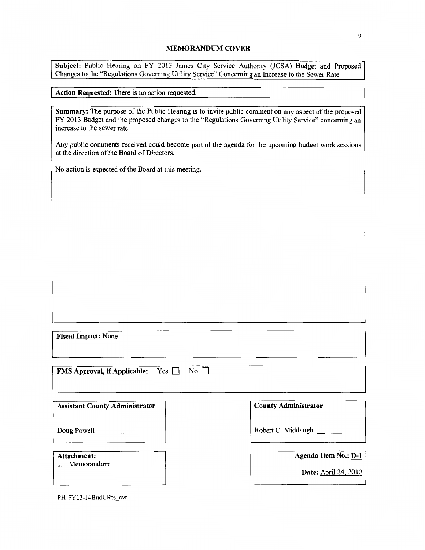# **MEMORANDUM COVER**

Subject: Public Hearing on FY 2013 James City Service Authority (JCSA) Budget and Proposed Changes to the "Regulations Governing Utility Service" Concerning an Increase to the Sewer Rate

Action Requested: There is no action requested.

**Summary:** The purpose of the Public Hearing is to invite public comment on any aspect of the proposed FY 2013 Budget and the proposed changes to the "Regulations Governing Utility Service" concerning an increase to the sewer rate.

Any public comments received could become part of the agenda for the upcoming budget work sessions at the direction of the Board of Directors.

No action is expected of the Board at this meeting.

Fiscal Impact: None

| FMS Approval, if Applicable: Yes   No |  |  |
|---------------------------------------|--|--|

| <b>Assistant County Administrator</b> | <b>County Administrator</b> |
|---------------------------------------|-----------------------------|
| Doug Powell                           | Robert C. Middaugh          |
| Attachment:<br>Memorandum             | Agenda Item No.: D-1        |
|                                       | Date: April 24, 2012        |

9

PH-FY13-14BudURts\_cvr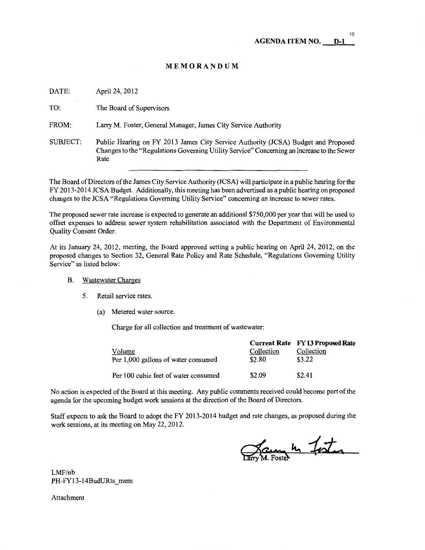#### **MEMORANDUM**

DATE: April24, 2012

TO: The Board of Supervisors

FROM: Larry M. Foster, General Manager, James City Service Authority

SUBJECT: Public Hearing on FY 2013 James City Service Authority (JCSA) Budget and Proposed Changes to the "Regulations Governing Utility Service" Concerning an Increase to the Sewer Rate

The Board of Directors of the James City Service Authority (JCSA) will participate in a public hearing for the FY 2013-2014 JCSA Budget. Additionally, this meeting has been advertised as a public hearing on proposed changes to the JCSA "Regulations Governing Utility Service" concerning an increase to sewer rates.

The proposed sewer rate increase is expected to generate an additional \$750,000 per year that will be used to offset expenses to address sewer system rehabilitation associated with the Department of Environmental Quality Consent Order.

At its January 24, 2012, meeting, the Board approved setting a public hearing on April 24, 2012, on the proposed changes to Section 32, General Rate Policy and Rate Schedule, "Regulations Governing Utility Service" as listed below:

- B. Wastewater Charges
	- 5. Retail service rates.
		- (a) Metered water source.

Charge for all collection and treatment of wastewater:

|                                      |            | <b>Current Rate</b> FY 13 Proposed Rate |
|--------------------------------------|------------|-----------------------------------------|
| Volume                               | Collection | Collection                              |
| Per 1,000 gallons of water consumed  | \$2.80     | \$3.22                                  |
| Per 100 cubic feet of water consumed | \$2.09     | \$2.41                                  |

No action is expected of the Board at this meeting. Any public comments received could become part of the agenda for the upcoming budget work sessions at the direction of the Board of Directors.

Staff expects to ask the Board to adopt the FY 2013-2014 budget and rate changes, as proposed during the work sessions, at its meeting on May 22, 2012.

Jaune 4 Foster

LMF/nb PH-FYl3-14BudURts mem

Attachment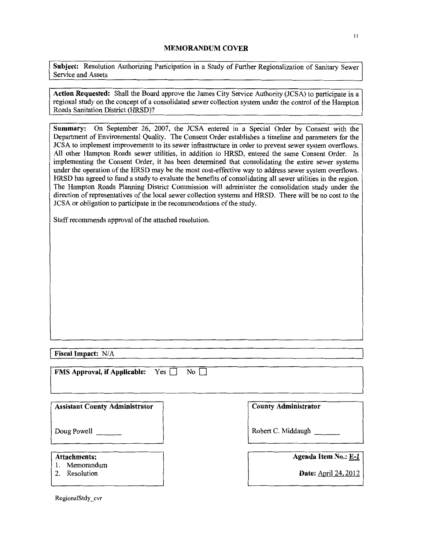**Subject:** Resolution Authorizing Participation in a Study of Further Regionalization of Sanitary Sewer Service and Assets

**Action Requested:** Shall the Board approve the James City Service Authority (JCSA) to participate in a regional study on the concept of a consolidated sewer collection system under the control of the Hampton Roads Sanitation District (HRSD)?

**Summary:** On September 26, 2007, the JCSA entered in a Special Order by Consent with the Department of Environmental Quality. The Consent Order establishes a timeline and parameters for the JCSA to implement improvements to its sewer infrastructure in order to prevent sewer system overflows. All other Hampton Roads sewer utilities, in addition to HRSD, entered the same Consent Order. In implementing the Consent Order, it has been determined that consolidating the entire sewer systems under the operation of the HRSD may be the most cost-effective way to address sewer system overflows. HRSD has agreed to fund a study to evaluate the benefits of consolidating all sewer utilities in the region. The Hampton Roads Planning District Commission will administer the consolidation study under the direction of representatives of the local sewer collection systems and HRSD. There will be no cost to the JCSA or obligation to participate in the recommendations of the study.

Staff recommends approval of the attached resolution.

# Fiscal Impact: N/A

| <b>FMS Approval, if Applicable:</b> Yes <b>No</b> |  |
|---------------------------------------------------|--|

| <b>Assistant County Administrator</b>           | <b>County Administrator</b>                  |
|-------------------------------------------------|----------------------------------------------|
| Doug Powell                                     | Robert C. Middaugh                           |
| <b>Attachments:</b><br>Memorandum<br>Resolution | Agenda Item No.: E-1<br>Date: April 24, 2012 |
|                                                 |                                              |

RegionalStdy\_cvr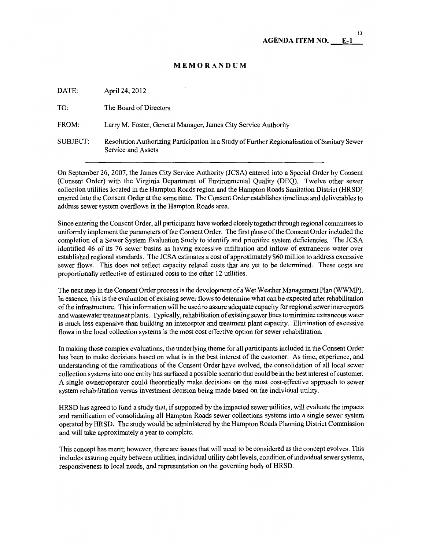# **MEMORANDUM**

DATE: April24, 2012

| TO:      | The Board of Directors                                                                                             |
|----------|--------------------------------------------------------------------------------------------------------------------|
| FROM:    | Larry M. Foster, General Manager, James City Service Authority                                                     |
| SUBJECT: | Resolution Authorizing Participation in a Study of Further Regionalization of Sanitary Sewer<br>Service and Assets |

On September 26, 2007, the James City Service Authority (JCSA) entered into a Special Order by Consent (Consent Order) with the Virginia Department of Environmental Quality (DEQ). Twelve other sewer collection utilities located in the Hampton Roads region and the Hampton Roads Sanitation District (HRSD) entered into the Consent Order at the same time. The Consent Order establishes timelines and deliverables to address sewer system overflows in the Hampton Roads area.

Since entering the Consent Order, all participants have worked closely together through regional committees to uniformly implement the parameters of the Consent Order. The first phase of the Consent Order included the completion of a Sewer System Evaluation Study to identify and prioritize system deficiencies. The JCSA identified 46 of its 76 sewer basins as having excessive infiltration and inflow of extraneous water over established regional standards. The JCSA estimates a cost of approximately \$60 million to address excessive sewer flows. This does not reflect capacity related costs that are yet to be determined. These costs are proportionally reflective of estimated costs to the other 12 utilities.

The next step in the Consent Order process is the development of a Wet Weather Management Plan (WWMP). In essence, this is the evaluation of existing sewer flows to determine what can be expected after rehabilitation of the infrastructure. This information will be used to assure adequate capacity for regional sewer interceptors and wastewater treatment plants. Typically, rehabilitation of existing sewer lines to minimize extraneous water is much less expensive than building an interceptor and treatment plant capacity. Elimination of excessive flows in the local collection systems is the most cost effective option for sewer rehabilitation.

In making these complex evaluations, the underlying theme for all participants included in the Consent Order has been to make decisions based on what is in the best interest of the customer. As time, experience, and understanding of the ramifications of the Consent Order have evolved, the consolidation of all local sewer collection systems into one entity has surfaced a possible scenario that could be in the best interest of customer. A single owner/operator could theoretically make decisions on the most cost-effective approach to sewer system rehabilitation versus investment decision being made based on the individual utility.

HRSD has agreed to fund a study that, if supported by the impacted sewer utilities, will evaluate the impacts and ramification of consolidating all Hampton Roads sewer collections systems into a single sewer system operated by HRSD. The study would be administered by the Hampton Roads Planning District Commission and will take approximately a year to complete.

This concept has merit; however, there are issues that will need to be considered as the concept evolves. This includes assuring equity between utilities, individual utility debt levels, condition of individual sewer systems, responsiveness to local needs, and representation on the governing body of HRSD.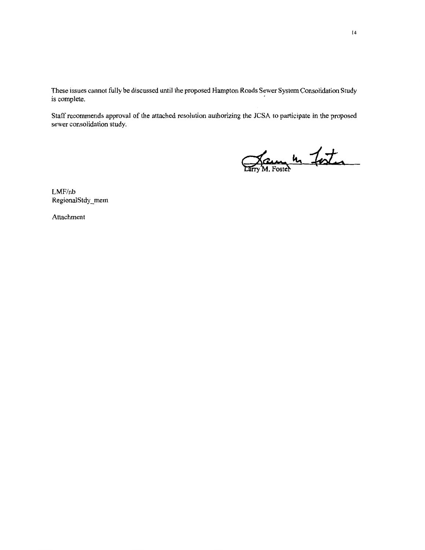These issues cannot fully be discussed until the proposed Hampton Roads Sewer System Consolidation Study is complete.

Staff recommends approval of the attached resolution authorizing the JCSA to participate in the proposed sewer consolidation study.

France 4 Foster

LMF/nb RegionalStdy\_mem

Attachment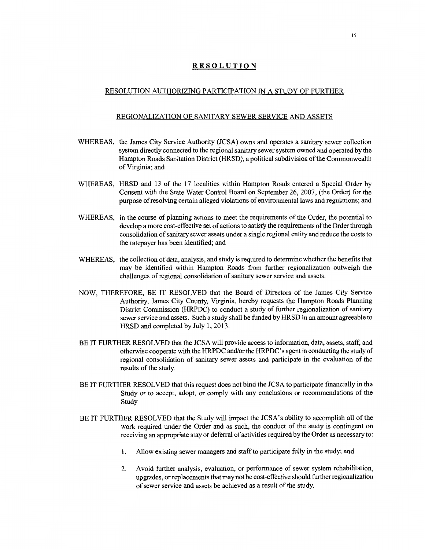# **RESOLUTION**

#### RESOLUTION AUTHORIZING PARTICIPATION IN A STUDY OF FURTHER

#### REGIONALIZATION OF SANITARY SEWER SERVICE AND ASSETS

- WHEREAS, the James City Service Authority (JCSA) owns and operates a sanitary sewer collection system directly connected to the regional sanitary sewer system owned and operated by the Hampton Roads Sanitation District (HRSD), a political subdivision of the Commonwealth ofVirginia; and
- WHEREAS, HRSD and 13 of the 17 localities within Hampton Roads entered a Special Order by Consent with the State Water Control Board on September 26, 2007, (the Order) for the purpose of resolving certain alleged violations of environmental laws and regulations; and
- WHEREAS, in the course of planning actions to meet the requirements of the Order, the potential to develop a more cost-effective set of actions to satisfy the requirements of the Order through consolidation of sanitary sewer assets under a single regional entity and reduce the costs to the ratepayer has been identified; and
- WHEREAS, the collection of data, analysis, and study is required to determine whether the benefits that may be identified within Hampton Roads from further regionalization outweigh the challenges of regional consolidation of sanitary sewer service and assets.
- NOW, THEREFORE, BE IT RESOLVED that the Board of Directors of the James City Service Authority, James City County, Virginia, hereby requests the Hampton Roads Planning District Commission (HRPDC) to conduct a study of further regionalization of sanitary sewer service and assets. Such a study shall be funded by HRSD in an amount agreeable to HRSD and completed by July 1, 2013.
- BE IT FURTHER RESOLVED that the JCSA will provide access to information, data, assets, staff, and otherwise cooperate with the HRPDC and/or the HRPDC' s agent in conducting the study of regional consolidation of sanitary sewer assets and participate in the evaluation of the results of the study.
- BE IT FURTHER RESOLVED that this request does not bind the JCSA to participate financially in the Study or to accept, adopt, or comply with any conclusions or recommendations of the Study.
- BE IT FURTHER RESOLVED that the Study will impact the JCSA's ability to accomplish all of the work required under the Order and as such, the conduct of the study is contingent on receiving an appropriate stay or deferral of activities required by the Order as necessary to:
	- 1. Allow existing sewer managers and staff to participate fully in the study; and
	- 2. Avoid further analysis, evaluation, or performance of sewer system rehabilitation, upgrades, or replacements that may not be cost-effective should further regionalization of sewer service and assets be achieved as a result of the study.